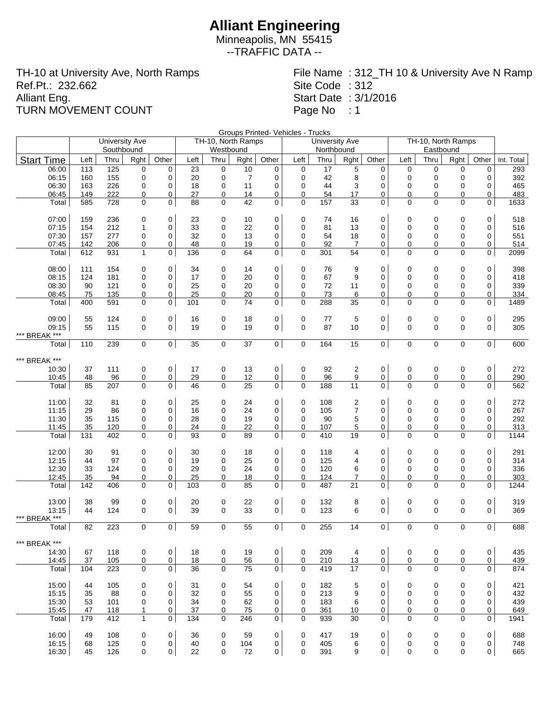Minneapolis, MN 55415 --TRAFFIC DATA --

TH-10 at University Ave, North Ramps Ref.Pt.: 232.662 Alliant Eng. TURN MOVEMENT COUNT

File Name : 312\_TH 10 & University Ave N Ramp Site Code : 312 Start Date : 3/1/2016 Page No : 1

Groups Printed- Vehicles - Trucks

| Northbound<br>Southbound<br>Westbound<br>Eastbound<br><b>Start Time</b><br>Other<br>Left<br>Thru<br>Left<br>Left<br>Thru<br>Rght<br>Thru<br>Rght<br>Other<br>Left<br>Rght<br>Other<br>Thru<br>Rght<br>Other<br>Int. Total<br>17<br>06:00<br>113<br>125<br>0<br>23<br>$\mathbf 0$<br>10<br>$\mathbf 0$<br>5<br>$\mathbf 0$<br>$\mathbf 0$<br>0<br>0<br>293<br>0<br>0<br>0<br>392<br>06:15<br>155<br>$\mathbf 0$<br>0<br>20<br>0<br>$\overline{7}$<br>$\mathbf 0$<br>$\mathbf 0$<br>42<br>8<br>0<br>0<br>$\mathbf 0$<br>0<br>$\mathbf 0$<br>160<br>11<br>$\mathbf 0$<br>3<br>06:30<br>163<br>226<br>0<br>18<br>$\mathbf 0$<br>44<br>0<br>0<br>$\mathbf 0$<br>0<br>0<br>465<br>0<br>0<br>06:45<br>222<br>0<br>27<br>14<br>0<br>$\mathbf 0$<br>0<br>483<br>149<br>0<br>0<br>54<br>17<br>0<br>0<br>0<br>0<br>42<br>0<br>157<br>33<br>0<br>0<br>728<br>$\mathbf 0$<br>$\mathbf 0$<br>88<br>$\mathbf 0$<br>$\mathbf 0$<br>$\Omega$<br>$\Omega$<br>$\mathsf{O}$<br>1633<br>Total<br>585<br>07:00<br>159<br>236<br>0<br>0<br>0<br>0<br>23<br>0<br>10<br>0<br>74<br>16<br>0<br>0<br>0<br>0<br>518<br>33<br>07:15<br>154<br>212<br>$\mathbf{1}$<br>0<br>0<br>22<br>0<br>$\mathbf 0$<br>81<br>13<br>0<br>0<br>$\Omega$<br>0<br>0<br>516<br>07:30<br>277<br>0<br>32<br>13<br>0<br>$\mathbf 0$<br>54<br>18<br>$\mathbf 0$<br>0<br>0<br>551<br>157<br>0<br>0<br>0<br>0<br>48<br>07:45<br>0<br>19<br>0<br>$\mathbf 0$<br>92<br>$\overline{7}$<br>0<br>0<br>0<br>514<br>142<br>206<br>0<br>0<br>0<br>0<br>0<br>$\mathbf{1}$<br>$\mathbf 0$<br>136<br>$\mathbf 0$<br>64<br>$\mathbf 0$<br>54<br>0<br>$\Omega$<br>$\Omega$<br>$\Omega$<br>2099<br>Total<br>612<br>931<br>301<br>0<br>08:00<br>0<br>0<br>$\mathbf 0$<br>0<br>0<br>398<br>111<br>154<br>0<br>34<br>14<br>0<br>76<br>9<br>0<br>0<br>0<br>08:15<br>124<br>181<br>0<br>0<br>17<br>20<br>0<br>$\mathbf 0$<br>67<br>9<br>0<br>0<br>0<br>0<br>418<br>0<br>0<br>$\mathbf 0$<br>339<br>08:30<br>0<br>25<br>0<br>20<br>$\mathbf 0$<br>72<br>0<br>0<br>$\mathbf 0$<br>$\mathbf 0$<br>0<br>90<br>121<br>0<br>11<br>25<br>20<br>334<br>08:45<br>135<br>0<br>0<br>73<br>6<br>0<br>$\mathbf 0$<br>75<br>0<br>0<br>0<br>0<br>0<br>0<br>74<br>591<br>$\mathbf 0$<br>$\overline{0}$<br>101<br>0<br>0<br>$\mathbf 0$<br>288<br>35<br>0<br>$\Omega$<br>$\Omega$<br>$\Omega$<br>1489<br>Total<br>400<br>0<br>09:00<br>124<br>0<br>16<br>0<br>0<br>$\mathbf 0$<br>77<br>5<br>0<br>$\mathbf 0$<br>295<br>55<br>0<br>18<br>0<br>0<br>0<br>87<br>$\Omega$<br>09:15<br>55<br>115<br>$\mathbf 0$<br>$\mathbf 0$<br>19<br>0<br>19<br>0<br>$\Omega$<br>10<br>$\mathbf 0$<br>$\mathbf 0$<br>$\Omega$<br>$\mathbf{0}$<br>305<br>*** BREAK ***<br>$\overline{0}$<br>$\mathbf 0$<br>15<br>$\overline{0}$<br>0 <sup>1</sup><br>110<br>0<br>35<br>0<br>37<br>0<br>164<br>$\mathbf 0$<br>$\mathbf 0$<br>$\mathbf 0$<br>600<br>Total<br>239<br>*** BREAK ***<br>0<br>10:30<br>37<br>111<br>0<br>0<br>17<br>0<br>13<br>0<br>$\mathbf 0$<br>92<br>$\overline{c}$<br>0<br>0<br>0<br>0<br>272<br>9<br>10:45<br>0<br>0<br>29<br>0<br>12<br>0<br>$\mathbf 0$<br>96<br>0<br>0<br>0<br>0<br>0<br>290<br>48<br>96<br>25<br>$\overline{0}$<br>$\mathbf 0$<br>11<br>0<br>0<br>0<br>0<br>Total<br>207<br>0<br>0<br>46<br>0<br>188<br>$\mathbf 0$<br>562<br>85<br>0<br>11:00<br>32<br>81<br>0<br>0<br>25<br>0<br>24<br>0<br>108<br>2<br>0<br>0<br>0<br>0<br>0<br>272<br>11:15<br>29<br>86<br>0<br>0<br>16<br>24<br>0<br>$\mathbf 0$<br>105<br>$\overline{7}$<br>0<br>0<br>0<br>$\mathbf 0$<br>267<br>0<br>$\Omega$<br>292<br>11:30<br>35<br>$\mathbf 0$<br>0<br>28<br>19<br>0<br>$\mathbf 0$<br>90<br>5<br>0<br>$\mathbf 0$<br>0<br>115<br>0<br>0<br>0<br>0<br>$\overline{0}$<br>11:45<br>35<br>$\mathbf 0$<br>24<br>$\mathbf 0$<br>22<br>0<br>5<br>0<br>0<br>$\mathbf 0$<br>0<br>120<br>107<br>0<br>313<br>0<br>93<br>0<br>$\Omega$<br>0<br>89<br>$\mathbf 0$<br>410<br>19<br>0<br>$\Omega$<br>$\Omega$<br>$\Omega$<br>1144<br>Total<br>402<br>0<br>131<br>12:00<br>0<br>0<br>0<br>0<br>30<br>91<br>0<br>30<br>0<br>18<br>0<br>118<br>4<br>0<br>0<br>0<br>291<br>12:15<br>97<br>$\mathbf 0$<br>0<br>19<br>25<br>$\mathbf 0$<br>$\mathbf 0$<br>125<br>4<br>0<br>0<br>0<br>314<br>44<br>0<br>0<br>0<br>336<br>12:30<br>33<br>0<br>29<br>0<br>24<br>$\mathbf 0$<br>$\mathbf 0$<br>120<br>6<br>0<br>0<br>$\mathbf 0$<br>0<br>124<br>0<br>0<br>25<br>12:45<br>35<br>94<br>0<br>0<br>18<br>0<br>0<br>124<br>7<br>0<br>0<br>0<br>0<br>303<br>0<br>0<br>$\Omega$<br>0<br>103<br>0<br>85<br>0<br>$\mathbf 0$<br>487<br>21<br>0<br>$\Omega$<br>$\Omega$<br>$\Omega$<br>1244<br>Total<br>142<br>406<br>0<br>13:00<br>0<br>0<br>0<br>$\mathbf 0$<br>319<br>38<br>99<br>0<br>20<br>22<br>0<br>0<br>132<br>8<br>0<br>0<br>0<br>$\mathbf 0$<br>39<br>33<br>$\mathbf 0$<br>$\mathbf 0$<br>$\Omega$<br>369<br>13:15<br>44<br>124<br>$\mathbf 0$<br>0<br>$\mathbf 0$<br>123<br>6<br>$\mathbf 0$<br>$\Omega$<br>$\mathbf{0}$<br>*** BREAK ***<br>$\overline{0}$<br>$\mathbf 0$<br>$\mathbf 0$<br>$\mathbf 0$<br>$\mathbf 0$<br>0<br>$\mathbf 0$<br>0<br>$\overline{0}$<br>688<br>82<br>223<br>$\mathbf 0$<br>59<br>55<br>255<br>14<br>Total<br>*** BREAK<br>0<br>14:30<br>67<br>118<br>0<br>18<br>0<br>19<br>0<br>0<br>209<br>4<br>0<br>0<br>0<br>0<br>435<br>0<br>14:45<br>37<br>105<br>0<br>0<br>18<br>0<br>56<br>0<br>0<br>210<br>13<br>0<br>0<br>0<br>0<br>0<br>439<br>Total<br>223<br>$\mathbf 0$<br>$\mathbf 0$<br>36<br>$\mathbf 0$<br>75<br>0 <sup>1</sup><br>$\mathbf 0$<br>419<br>17<br>0<br>$\Omega$<br>$\Omega$<br>$\Omega$<br>$\overline{0}$<br>874<br>104<br>15:00<br>44<br>105<br>0<br>0<br>0<br>54<br>0<br>182<br>5<br>0<br>0<br>0<br>421<br>31<br>0<br>0<br>0<br>15:15<br>213<br>9<br>432<br>35<br>88<br>0<br>0<br>32<br>0<br>55<br>0<br>0<br>0<br>0<br>0<br>0<br>0<br>15:30<br>62<br>183<br>439<br>53<br>101<br>0<br>0<br>34<br>0<br>0<br>0<br>6<br>0<br>0<br>0<br>0<br>0<br>15:45<br>47<br>$\mathbf{1}$<br>0<br>37<br>75<br>0<br>0<br>361<br>0<br>649<br>118<br>0<br>10<br>0<br>0<br>0<br>0<br>$\mathbf{1}$<br>$\mathsf{O}$<br>$\overline{0}$<br>0<br>134<br>0<br>246<br>0<br>939<br>$\Omega$<br>$\Omega$<br>$\Omega$<br>$\mathsf{O}$<br>Total<br>179<br>412<br>30<br>1941<br>16:00<br>$\pmb{0}$<br>0<br>0<br>$\mathbf 0$<br>0<br>688<br>49<br>108<br>0<br>36<br>59<br>417<br>19<br>0<br>0<br>0<br>0<br>16:15<br>68<br>125<br>0<br>40<br>0<br>104<br>0<br>0<br>405<br>6<br>0<br>0<br>0<br>748<br>0<br>0<br>0 |       |    | <b>University Ave</b> |   |             |    | TH-10, North Ramps |    |                |             | <b>University Ave</b> |   |   | TH-10, North Ramps |             |             |   |     |
|---------------------------------------------------------------------------------------------------------------------------------------------------------------------------------------------------------------------------------------------------------------------------------------------------------------------------------------------------------------------------------------------------------------------------------------------------------------------------------------------------------------------------------------------------------------------------------------------------------------------------------------------------------------------------------------------------------------------------------------------------------------------------------------------------------------------------------------------------------------------------------------------------------------------------------------------------------------------------------------------------------------------------------------------------------------------------------------------------------------------------------------------------------------------------------------------------------------------------------------------------------------------------------------------------------------------------------------------------------------------------------------------------------------------------------------------------------------------------------------------------------------------------------------------------------------------------------------------------------------------------------------------------------------------------------------------------------------------------------------------------------------------------------------------------------------------------------------------------------------------------------------------------------------------------------------------------------------------------------------------------------------------------------------------------------------------------------------------------------------------------------------------------------------------------------------------------------------------------------------------------------------------------------------------------------------------------------------------------------------------------------------------------------------------------------------------------------------------------------------------------------------------------------------------------------------------------------------------------------------------------------------------------------------------------------------------------------------------------------------------------------------------------------------------------------------------------------------------------------------------------------------------------------------------------------------------------------------------------------------------------------------------------------------------------------------------------------------------------------------------------------------------------------------------------------------------------------------------------------------------------------------------------------------------------------------------------------------------------------------------------------------------------------------------------------------------------------------------------------------------------------------------------------------------------------------------------------------------------------------------------------------------------------------------------------------------------------------------------------------------------------------------------------------------------------------------------------------------------------------------------------------------------------------------------------------------------------------------------------------------------------------------------------------------------------------------------------------------------------------------------------------------------------------------------------------------------------------------------------------------------------------------------------------------------------------------------------------------------------------------------------------------------------------------------------------------------------------------------------------------------------------------------------------------------------------------------------------------------------------------------------------------------------------------------------------------------------------------------------------------------------------------------------------------------------------------------------------------------------------------------------------------------------------------------------------------------------------------------------------------------------------------------------------------------------------------------------------------------------------------------------------------------------------------------------------------------------------------------------------------------------------------------------------------------------------------------------------------------------------------------------------------------------------------------------------------------------------------------------------------------------------------------------------------------------------------------------------------------------------------------------------------------------------------------------------------------------------------------------------------------------------------------------------------------------------------------------------------------------------------------------------------------------------------------------------------------------------------------------------------------------------------------------------------------------------------------------------------------------------------------------------------------------------------------------------------------------------------------------------------------------------------------------------------------------------------------------------------------------------------------------------------------------|-------|----|-----------------------|---|-------------|----|--------------------|----|----------------|-------------|-----------------------|---|---|--------------------|-------------|-------------|---|-----|
|                                                                                                                                                                                                                                                                                                                                                                                                                                                                                                                                                                                                                                                                                                                                                                                                                                                                                                                                                                                                                                                                                                                                                                                                                                                                                                                                                                                                                                                                                                                                                                                                                                                                                                                                                                                                                                                                                                                                                                                                                                                                                                                                                                                                                                                                                                                                                                                                                                                                                                                                                                                                                                                                                                                                                                                                                                                                                                                                                                                                                                                                                                                                                                                                                                                                                                                                                                                                                                                                                                                                                                                                                                                                                                                                                                                                                                                                                                                                                                                                                                                                                                                                                                                                                                                                                                                                                                                                                                                                                                                                                                                                                                                                                                                                                                                                                                                                                                                                                                                                                                                                                                                                                                                                                                                                                                                                                                                                                                                                                                                                                                                                                                                                                                                                                                                                                                                                                                                                                                                                                                                                                                                                                                                                                                                                                                                                                                                                         |       |    |                       |   |             |    |                    |    |                |             |                       |   |   |                    |             |             |   |     |
|                                                                                                                                                                                                                                                                                                                                                                                                                                                                                                                                                                                                                                                                                                                                                                                                                                                                                                                                                                                                                                                                                                                                                                                                                                                                                                                                                                                                                                                                                                                                                                                                                                                                                                                                                                                                                                                                                                                                                                                                                                                                                                                                                                                                                                                                                                                                                                                                                                                                                                                                                                                                                                                                                                                                                                                                                                                                                                                                                                                                                                                                                                                                                                                                                                                                                                                                                                                                                                                                                                                                                                                                                                                                                                                                                                                                                                                                                                                                                                                                                                                                                                                                                                                                                                                                                                                                                                                                                                                                                                                                                                                                                                                                                                                                                                                                                                                                                                                                                                                                                                                                                                                                                                                                                                                                                                                                                                                                                                                                                                                                                                                                                                                                                                                                                                                                                                                                                                                                                                                                                                                                                                                                                                                                                                                                                                                                                                                                         |       |    |                       |   |             |    |                    |    |                |             |                       |   |   |                    |             |             |   |     |
|                                                                                                                                                                                                                                                                                                                                                                                                                                                                                                                                                                                                                                                                                                                                                                                                                                                                                                                                                                                                                                                                                                                                                                                                                                                                                                                                                                                                                                                                                                                                                                                                                                                                                                                                                                                                                                                                                                                                                                                                                                                                                                                                                                                                                                                                                                                                                                                                                                                                                                                                                                                                                                                                                                                                                                                                                                                                                                                                                                                                                                                                                                                                                                                                                                                                                                                                                                                                                                                                                                                                                                                                                                                                                                                                                                                                                                                                                                                                                                                                                                                                                                                                                                                                                                                                                                                                                                                                                                                                                                                                                                                                                                                                                                                                                                                                                                                                                                                                                                                                                                                                                                                                                                                                                                                                                                                                                                                                                                                                                                                                                                                                                                                                                                                                                                                                                                                                                                                                                                                                                                                                                                                                                                                                                                                                                                                                                                                                         |       |    |                       |   |             |    |                    |    |                |             |                       |   |   |                    |             |             |   |     |
|                                                                                                                                                                                                                                                                                                                                                                                                                                                                                                                                                                                                                                                                                                                                                                                                                                                                                                                                                                                                                                                                                                                                                                                                                                                                                                                                                                                                                                                                                                                                                                                                                                                                                                                                                                                                                                                                                                                                                                                                                                                                                                                                                                                                                                                                                                                                                                                                                                                                                                                                                                                                                                                                                                                                                                                                                                                                                                                                                                                                                                                                                                                                                                                                                                                                                                                                                                                                                                                                                                                                                                                                                                                                                                                                                                                                                                                                                                                                                                                                                                                                                                                                                                                                                                                                                                                                                                                                                                                                                                                                                                                                                                                                                                                                                                                                                                                                                                                                                                                                                                                                                                                                                                                                                                                                                                                                                                                                                                                                                                                                                                                                                                                                                                                                                                                                                                                                                                                                                                                                                                                                                                                                                                                                                                                                                                                                                                                                         |       |    |                       |   |             |    |                    |    |                |             |                       |   |   |                    |             |             |   |     |
|                                                                                                                                                                                                                                                                                                                                                                                                                                                                                                                                                                                                                                                                                                                                                                                                                                                                                                                                                                                                                                                                                                                                                                                                                                                                                                                                                                                                                                                                                                                                                                                                                                                                                                                                                                                                                                                                                                                                                                                                                                                                                                                                                                                                                                                                                                                                                                                                                                                                                                                                                                                                                                                                                                                                                                                                                                                                                                                                                                                                                                                                                                                                                                                                                                                                                                                                                                                                                                                                                                                                                                                                                                                                                                                                                                                                                                                                                                                                                                                                                                                                                                                                                                                                                                                                                                                                                                                                                                                                                                                                                                                                                                                                                                                                                                                                                                                                                                                                                                                                                                                                                                                                                                                                                                                                                                                                                                                                                                                                                                                                                                                                                                                                                                                                                                                                                                                                                                                                                                                                                                                                                                                                                                                                                                                                                                                                                                                                         |       |    |                       |   |             |    |                    |    |                |             |                       |   |   |                    |             |             |   |     |
|                                                                                                                                                                                                                                                                                                                                                                                                                                                                                                                                                                                                                                                                                                                                                                                                                                                                                                                                                                                                                                                                                                                                                                                                                                                                                                                                                                                                                                                                                                                                                                                                                                                                                                                                                                                                                                                                                                                                                                                                                                                                                                                                                                                                                                                                                                                                                                                                                                                                                                                                                                                                                                                                                                                                                                                                                                                                                                                                                                                                                                                                                                                                                                                                                                                                                                                                                                                                                                                                                                                                                                                                                                                                                                                                                                                                                                                                                                                                                                                                                                                                                                                                                                                                                                                                                                                                                                                                                                                                                                                                                                                                                                                                                                                                                                                                                                                                                                                                                                                                                                                                                                                                                                                                                                                                                                                                                                                                                                                                                                                                                                                                                                                                                                                                                                                                                                                                                                                                                                                                                                                                                                                                                                                                                                                                                                                                                                                                         |       |    |                       |   |             |    |                    |    |                |             |                       |   |   |                    |             |             |   |     |
|                                                                                                                                                                                                                                                                                                                                                                                                                                                                                                                                                                                                                                                                                                                                                                                                                                                                                                                                                                                                                                                                                                                                                                                                                                                                                                                                                                                                                                                                                                                                                                                                                                                                                                                                                                                                                                                                                                                                                                                                                                                                                                                                                                                                                                                                                                                                                                                                                                                                                                                                                                                                                                                                                                                                                                                                                                                                                                                                                                                                                                                                                                                                                                                                                                                                                                                                                                                                                                                                                                                                                                                                                                                                                                                                                                                                                                                                                                                                                                                                                                                                                                                                                                                                                                                                                                                                                                                                                                                                                                                                                                                                                                                                                                                                                                                                                                                                                                                                                                                                                                                                                                                                                                                                                                                                                                                                                                                                                                                                                                                                                                                                                                                                                                                                                                                                                                                                                                                                                                                                                                                                                                                                                                                                                                                                                                                                                                                                         |       |    |                       |   |             |    |                    |    |                |             |                       |   |   |                    |             |             |   |     |
|                                                                                                                                                                                                                                                                                                                                                                                                                                                                                                                                                                                                                                                                                                                                                                                                                                                                                                                                                                                                                                                                                                                                                                                                                                                                                                                                                                                                                                                                                                                                                                                                                                                                                                                                                                                                                                                                                                                                                                                                                                                                                                                                                                                                                                                                                                                                                                                                                                                                                                                                                                                                                                                                                                                                                                                                                                                                                                                                                                                                                                                                                                                                                                                                                                                                                                                                                                                                                                                                                                                                                                                                                                                                                                                                                                                                                                                                                                                                                                                                                                                                                                                                                                                                                                                                                                                                                                                                                                                                                                                                                                                                                                                                                                                                                                                                                                                                                                                                                                                                                                                                                                                                                                                                                                                                                                                                                                                                                                                                                                                                                                                                                                                                                                                                                                                                                                                                                                                                                                                                                                                                                                                                                                                                                                                                                                                                                                                                         |       |    |                       |   |             |    |                    |    |                |             |                       |   |   |                    |             |             |   |     |
|                                                                                                                                                                                                                                                                                                                                                                                                                                                                                                                                                                                                                                                                                                                                                                                                                                                                                                                                                                                                                                                                                                                                                                                                                                                                                                                                                                                                                                                                                                                                                                                                                                                                                                                                                                                                                                                                                                                                                                                                                                                                                                                                                                                                                                                                                                                                                                                                                                                                                                                                                                                                                                                                                                                                                                                                                                                                                                                                                                                                                                                                                                                                                                                                                                                                                                                                                                                                                                                                                                                                                                                                                                                                                                                                                                                                                                                                                                                                                                                                                                                                                                                                                                                                                                                                                                                                                                                                                                                                                                                                                                                                                                                                                                                                                                                                                                                                                                                                                                                                                                                                                                                                                                                                                                                                                                                                                                                                                                                                                                                                                                                                                                                                                                                                                                                                                                                                                                                                                                                                                                                                                                                                                                                                                                                                                                                                                                                                         |       |    |                       |   |             |    |                    |    |                |             |                       |   |   |                    |             |             |   |     |
|                                                                                                                                                                                                                                                                                                                                                                                                                                                                                                                                                                                                                                                                                                                                                                                                                                                                                                                                                                                                                                                                                                                                                                                                                                                                                                                                                                                                                                                                                                                                                                                                                                                                                                                                                                                                                                                                                                                                                                                                                                                                                                                                                                                                                                                                                                                                                                                                                                                                                                                                                                                                                                                                                                                                                                                                                                                                                                                                                                                                                                                                                                                                                                                                                                                                                                                                                                                                                                                                                                                                                                                                                                                                                                                                                                                                                                                                                                                                                                                                                                                                                                                                                                                                                                                                                                                                                                                                                                                                                                                                                                                                                                                                                                                                                                                                                                                                                                                                                                                                                                                                                                                                                                                                                                                                                                                                                                                                                                                                                                                                                                                                                                                                                                                                                                                                                                                                                                                                                                                                                                                                                                                                                                                                                                                                                                                                                                                                         |       |    |                       |   |             |    |                    |    |                |             |                       |   |   |                    |             |             |   |     |
|                                                                                                                                                                                                                                                                                                                                                                                                                                                                                                                                                                                                                                                                                                                                                                                                                                                                                                                                                                                                                                                                                                                                                                                                                                                                                                                                                                                                                                                                                                                                                                                                                                                                                                                                                                                                                                                                                                                                                                                                                                                                                                                                                                                                                                                                                                                                                                                                                                                                                                                                                                                                                                                                                                                                                                                                                                                                                                                                                                                                                                                                                                                                                                                                                                                                                                                                                                                                                                                                                                                                                                                                                                                                                                                                                                                                                                                                                                                                                                                                                                                                                                                                                                                                                                                                                                                                                                                                                                                                                                                                                                                                                                                                                                                                                                                                                                                                                                                                                                                                                                                                                                                                                                                                                                                                                                                                                                                                                                                                                                                                                                                                                                                                                                                                                                                                                                                                                                                                                                                                                                                                                                                                                                                                                                                                                                                                                                                                         |       |    |                       |   |             |    |                    |    |                |             |                       |   |   |                    |             |             |   |     |
|                                                                                                                                                                                                                                                                                                                                                                                                                                                                                                                                                                                                                                                                                                                                                                                                                                                                                                                                                                                                                                                                                                                                                                                                                                                                                                                                                                                                                                                                                                                                                                                                                                                                                                                                                                                                                                                                                                                                                                                                                                                                                                                                                                                                                                                                                                                                                                                                                                                                                                                                                                                                                                                                                                                                                                                                                                                                                                                                                                                                                                                                                                                                                                                                                                                                                                                                                                                                                                                                                                                                                                                                                                                                                                                                                                                                                                                                                                                                                                                                                                                                                                                                                                                                                                                                                                                                                                                                                                                                                                                                                                                                                                                                                                                                                                                                                                                                                                                                                                                                                                                                                                                                                                                                                                                                                                                                                                                                                                                                                                                                                                                                                                                                                                                                                                                                                                                                                                                                                                                                                                                                                                                                                                                                                                                                                                                                                                                                         |       |    |                       |   |             |    |                    |    |                |             |                       |   |   |                    |             |             |   |     |
|                                                                                                                                                                                                                                                                                                                                                                                                                                                                                                                                                                                                                                                                                                                                                                                                                                                                                                                                                                                                                                                                                                                                                                                                                                                                                                                                                                                                                                                                                                                                                                                                                                                                                                                                                                                                                                                                                                                                                                                                                                                                                                                                                                                                                                                                                                                                                                                                                                                                                                                                                                                                                                                                                                                                                                                                                                                                                                                                                                                                                                                                                                                                                                                                                                                                                                                                                                                                                                                                                                                                                                                                                                                                                                                                                                                                                                                                                                                                                                                                                                                                                                                                                                                                                                                                                                                                                                                                                                                                                                                                                                                                                                                                                                                                                                                                                                                                                                                                                                                                                                                                                                                                                                                                                                                                                                                                                                                                                                                                                                                                                                                                                                                                                                                                                                                                                                                                                                                                                                                                                                                                                                                                                                                                                                                                                                                                                                                                         |       |    |                       |   |             |    |                    |    |                |             |                       |   |   |                    |             |             |   |     |
|                                                                                                                                                                                                                                                                                                                                                                                                                                                                                                                                                                                                                                                                                                                                                                                                                                                                                                                                                                                                                                                                                                                                                                                                                                                                                                                                                                                                                                                                                                                                                                                                                                                                                                                                                                                                                                                                                                                                                                                                                                                                                                                                                                                                                                                                                                                                                                                                                                                                                                                                                                                                                                                                                                                                                                                                                                                                                                                                                                                                                                                                                                                                                                                                                                                                                                                                                                                                                                                                                                                                                                                                                                                                                                                                                                                                                                                                                                                                                                                                                                                                                                                                                                                                                                                                                                                                                                                                                                                                                                                                                                                                                                                                                                                                                                                                                                                                                                                                                                                                                                                                                                                                                                                                                                                                                                                                                                                                                                                                                                                                                                                                                                                                                                                                                                                                                                                                                                                                                                                                                                                                                                                                                                                                                                                                                                                                                                                                         |       |    |                       |   |             |    |                    |    |                |             |                       |   |   |                    |             |             |   |     |
|                                                                                                                                                                                                                                                                                                                                                                                                                                                                                                                                                                                                                                                                                                                                                                                                                                                                                                                                                                                                                                                                                                                                                                                                                                                                                                                                                                                                                                                                                                                                                                                                                                                                                                                                                                                                                                                                                                                                                                                                                                                                                                                                                                                                                                                                                                                                                                                                                                                                                                                                                                                                                                                                                                                                                                                                                                                                                                                                                                                                                                                                                                                                                                                                                                                                                                                                                                                                                                                                                                                                                                                                                                                                                                                                                                                                                                                                                                                                                                                                                                                                                                                                                                                                                                                                                                                                                                                                                                                                                                                                                                                                                                                                                                                                                                                                                                                                                                                                                                                                                                                                                                                                                                                                                                                                                                                                                                                                                                                                                                                                                                                                                                                                                                                                                                                                                                                                                                                                                                                                                                                                                                                                                                                                                                                                                                                                                                                                         |       |    |                       |   |             |    |                    |    |                |             |                       |   |   |                    |             |             |   |     |
|                                                                                                                                                                                                                                                                                                                                                                                                                                                                                                                                                                                                                                                                                                                                                                                                                                                                                                                                                                                                                                                                                                                                                                                                                                                                                                                                                                                                                                                                                                                                                                                                                                                                                                                                                                                                                                                                                                                                                                                                                                                                                                                                                                                                                                                                                                                                                                                                                                                                                                                                                                                                                                                                                                                                                                                                                                                                                                                                                                                                                                                                                                                                                                                                                                                                                                                                                                                                                                                                                                                                                                                                                                                                                                                                                                                                                                                                                                                                                                                                                                                                                                                                                                                                                                                                                                                                                                                                                                                                                                                                                                                                                                                                                                                                                                                                                                                                                                                                                                                                                                                                                                                                                                                                                                                                                                                                                                                                                                                                                                                                                                                                                                                                                                                                                                                                                                                                                                                                                                                                                                                                                                                                                                                                                                                                                                                                                                                                         |       |    |                       |   |             |    |                    |    |                |             |                       |   |   |                    |             |             |   |     |
|                                                                                                                                                                                                                                                                                                                                                                                                                                                                                                                                                                                                                                                                                                                                                                                                                                                                                                                                                                                                                                                                                                                                                                                                                                                                                                                                                                                                                                                                                                                                                                                                                                                                                                                                                                                                                                                                                                                                                                                                                                                                                                                                                                                                                                                                                                                                                                                                                                                                                                                                                                                                                                                                                                                                                                                                                                                                                                                                                                                                                                                                                                                                                                                                                                                                                                                                                                                                                                                                                                                                                                                                                                                                                                                                                                                                                                                                                                                                                                                                                                                                                                                                                                                                                                                                                                                                                                                                                                                                                                                                                                                                                                                                                                                                                                                                                                                                                                                                                                                                                                                                                                                                                                                                                                                                                                                                                                                                                                                                                                                                                                                                                                                                                                                                                                                                                                                                                                                                                                                                                                                                                                                                                                                                                                                                                                                                                                                                         |       |    |                       |   |             |    |                    |    |                |             |                       |   |   |                    |             |             |   |     |
|                                                                                                                                                                                                                                                                                                                                                                                                                                                                                                                                                                                                                                                                                                                                                                                                                                                                                                                                                                                                                                                                                                                                                                                                                                                                                                                                                                                                                                                                                                                                                                                                                                                                                                                                                                                                                                                                                                                                                                                                                                                                                                                                                                                                                                                                                                                                                                                                                                                                                                                                                                                                                                                                                                                                                                                                                                                                                                                                                                                                                                                                                                                                                                                                                                                                                                                                                                                                                                                                                                                                                                                                                                                                                                                                                                                                                                                                                                                                                                                                                                                                                                                                                                                                                                                                                                                                                                                                                                                                                                                                                                                                                                                                                                                                                                                                                                                                                                                                                                                                                                                                                                                                                                                                                                                                                                                                                                                                                                                                                                                                                                                                                                                                                                                                                                                                                                                                                                                                                                                                                                                                                                                                                                                                                                                                                                                                                                                                         |       |    |                       |   |             |    |                    |    |                |             |                       |   |   |                    |             |             |   |     |
|                                                                                                                                                                                                                                                                                                                                                                                                                                                                                                                                                                                                                                                                                                                                                                                                                                                                                                                                                                                                                                                                                                                                                                                                                                                                                                                                                                                                                                                                                                                                                                                                                                                                                                                                                                                                                                                                                                                                                                                                                                                                                                                                                                                                                                                                                                                                                                                                                                                                                                                                                                                                                                                                                                                                                                                                                                                                                                                                                                                                                                                                                                                                                                                                                                                                                                                                                                                                                                                                                                                                                                                                                                                                                                                                                                                                                                                                                                                                                                                                                                                                                                                                                                                                                                                                                                                                                                                                                                                                                                                                                                                                                                                                                                                                                                                                                                                                                                                                                                                                                                                                                                                                                                                                                                                                                                                                                                                                                                                                                                                                                                                                                                                                                                                                                                                                                                                                                                                                                                                                                                                                                                                                                                                                                                                                                                                                                                                                         |       |    |                       |   |             |    |                    |    |                |             |                       |   |   |                    |             |             |   |     |
|                                                                                                                                                                                                                                                                                                                                                                                                                                                                                                                                                                                                                                                                                                                                                                                                                                                                                                                                                                                                                                                                                                                                                                                                                                                                                                                                                                                                                                                                                                                                                                                                                                                                                                                                                                                                                                                                                                                                                                                                                                                                                                                                                                                                                                                                                                                                                                                                                                                                                                                                                                                                                                                                                                                                                                                                                                                                                                                                                                                                                                                                                                                                                                                                                                                                                                                                                                                                                                                                                                                                                                                                                                                                                                                                                                                                                                                                                                                                                                                                                                                                                                                                                                                                                                                                                                                                                                                                                                                                                                                                                                                                                                                                                                                                                                                                                                                                                                                                                                                                                                                                                                                                                                                                                                                                                                                                                                                                                                                                                                                                                                                                                                                                                                                                                                                                                                                                                                                                                                                                                                                                                                                                                                                                                                                                                                                                                                                                         |       |    |                       |   |             |    |                    |    |                |             |                       |   |   |                    |             |             |   |     |
|                                                                                                                                                                                                                                                                                                                                                                                                                                                                                                                                                                                                                                                                                                                                                                                                                                                                                                                                                                                                                                                                                                                                                                                                                                                                                                                                                                                                                                                                                                                                                                                                                                                                                                                                                                                                                                                                                                                                                                                                                                                                                                                                                                                                                                                                                                                                                                                                                                                                                                                                                                                                                                                                                                                                                                                                                                                                                                                                                                                                                                                                                                                                                                                                                                                                                                                                                                                                                                                                                                                                                                                                                                                                                                                                                                                                                                                                                                                                                                                                                                                                                                                                                                                                                                                                                                                                                                                                                                                                                                                                                                                                                                                                                                                                                                                                                                                                                                                                                                                                                                                                                                                                                                                                                                                                                                                                                                                                                                                                                                                                                                                                                                                                                                                                                                                                                                                                                                                                                                                                                                                                                                                                                                                                                                                                                                                                                                                                         |       |    |                       |   |             |    |                    |    |                |             |                       |   |   |                    |             |             |   |     |
|                                                                                                                                                                                                                                                                                                                                                                                                                                                                                                                                                                                                                                                                                                                                                                                                                                                                                                                                                                                                                                                                                                                                                                                                                                                                                                                                                                                                                                                                                                                                                                                                                                                                                                                                                                                                                                                                                                                                                                                                                                                                                                                                                                                                                                                                                                                                                                                                                                                                                                                                                                                                                                                                                                                                                                                                                                                                                                                                                                                                                                                                                                                                                                                                                                                                                                                                                                                                                                                                                                                                                                                                                                                                                                                                                                                                                                                                                                                                                                                                                                                                                                                                                                                                                                                                                                                                                                                                                                                                                                                                                                                                                                                                                                                                                                                                                                                                                                                                                                                                                                                                                                                                                                                                                                                                                                                                                                                                                                                                                                                                                                                                                                                                                                                                                                                                                                                                                                                                                                                                                                                                                                                                                                                                                                                                                                                                                                                                         |       |    |                       |   |             |    |                    |    |                |             |                       |   |   |                    |             |             |   |     |
|                                                                                                                                                                                                                                                                                                                                                                                                                                                                                                                                                                                                                                                                                                                                                                                                                                                                                                                                                                                                                                                                                                                                                                                                                                                                                                                                                                                                                                                                                                                                                                                                                                                                                                                                                                                                                                                                                                                                                                                                                                                                                                                                                                                                                                                                                                                                                                                                                                                                                                                                                                                                                                                                                                                                                                                                                                                                                                                                                                                                                                                                                                                                                                                                                                                                                                                                                                                                                                                                                                                                                                                                                                                                                                                                                                                                                                                                                                                                                                                                                                                                                                                                                                                                                                                                                                                                                                                                                                                                                                                                                                                                                                                                                                                                                                                                                                                                                                                                                                                                                                                                                                                                                                                                                                                                                                                                                                                                                                                                                                                                                                                                                                                                                                                                                                                                                                                                                                                                                                                                                                                                                                                                                                                                                                                                                                                                                                                                         |       |    |                       |   |             |    |                    |    |                |             |                       |   |   |                    |             |             |   |     |
|                                                                                                                                                                                                                                                                                                                                                                                                                                                                                                                                                                                                                                                                                                                                                                                                                                                                                                                                                                                                                                                                                                                                                                                                                                                                                                                                                                                                                                                                                                                                                                                                                                                                                                                                                                                                                                                                                                                                                                                                                                                                                                                                                                                                                                                                                                                                                                                                                                                                                                                                                                                                                                                                                                                                                                                                                                                                                                                                                                                                                                                                                                                                                                                                                                                                                                                                                                                                                                                                                                                                                                                                                                                                                                                                                                                                                                                                                                                                                                                                                                                                                                                                                                                                                                                                                                                                                                                                                                                                                                                                                                                                                                                                                                                                                                                                                                                                                                                                                                                                                                                                                                                                                                                                                                                                                                                                                                                                                                                                                                                                                                                                                                                                                                                                                                                                                                                                                                                                                                                                                                                                                                                                                                                                                                                                                                                                                                                                         |       |    |                       |   |             |    |                    |    |                |             |                       |   |   |                    |             |             |   |     |
|                                                                                                                                                                                                                                                                                                                                                                                                                                                                                                                                                                                                                                                                                                                                                                                                                                                                                                                                                                                                                                                                                                                                                                                                                                                                                                                                                                                                                                                                                                                                                                                                                                                                                                                                                                                                                                                                                                                                                                                                                                                                                                                                                                                                                                                                                                                                                                                                                                                                                                                                                                                                                                                                                                                                                                                                                                                                                                                                                                                                                                                                                                                                                                                                                                                                                                                                                                                                                                                                                                                                                                                                                                                                                                                                                                                                                                                                                                                                                                                                                                                                                                                                                                                                                                                                                                                                                                                                                                                                                                                                                                                                                                                                                                                                                                                                                                                                                                                                                                                                                                                                                                                                                                                                                                                                                                                                                                                                                                                                                                                                                                                                                                                                                                                                                                                                                                                                                                                                                                                                                                                                                                                                                                                                                                                                                                                                                                                                         |       |    |                       |   |             |    |                    |    |                |             |                       |   |   |                    |             |             |   |     |
|                                                                                                                                                                                                                                                                                                                                                                                                                                                                                                                                                                                                                                                                                                                                                                                                                                                                                                                                                                                                                                                                                                                                                                                                                                                                                                                                                                                                                                                                                                                                                                                                                                                                                                                                                                                                                                                                                                                                                                                                                                                                                                                                                                                                                                                                                                                                                                                                                                                                                                                                                                                                                                                                                                                                                                                                                                                                                                                                                                                                                                                                                                                                                                                                                                                                                                                                                                                                                                                                                                                                                                                                                                                                                                                                                                                                                                                                                                                                                                                                                                                                                                                                                                                                                                                                                                                                                                                                                                                                                                                                                                                                                                                                                                                                                                                                                                                                                                                                                                                                                                                                                                                                                                                                                                                                                                                                                                                                                                                                                                                                                                                                                                                                                                                                                                                                                                                                                                                                                                                                                                                                                                                                                                                                                                                                                                                                                                                                         |       |    |                       |   |             |    |                    |    |                |             |                       |   |   |                    |             |             |   |     |
|                                                                                                                                                                                                                                                                                                                                                                                                                                                                                                                                                                                                                                                                                                                                                                                                                                                                                                                                                                                                                                                                                                                                                                                                                                                                                                                                                                                                                                                                                                                                                                                                                                                                                                                                                                                                                                                                                                                                                                                                                                                                                                                                                                                                                                                                                                                                                                                                                                                                                                                                                                                                                                                                                                                                                                                                                                                                                                                                                                                                                                                                                                                                                                                                                                                                                                                                                                                                                                                                                                                                                                                                                                                                                                                                                                                                                                                                                                                                                                                                                                                                                                                                                                                                                                                                                                                                                                                                                                                                                                                                                                                                                                                                                                                                                                                                                                                                                                                                                                                                                                                                                                                                                                                                                                                                                                                                                                                                                                                                                                                                                                                                                                                                                                                                                                                                                                                                                                                                                                                                                                                                                                                                                                                                                                                                                                                                                                                                         |       |    |                       |   |             |    |                    |    |                |             |                       |   |   |                    |             |             |   |     |
|                                                                                                                                                                                                                                                                                                                                                                                                                                                                                                                                                                                                                                                                                                                                                                                                                                                                                                                                                                                                                                                                                                                                                                                                                                                                                                                                                                                                                                                                                                                                                                                                                                                                                                                                                                                                                                                                                                                                                                                                                                                                                                                                                                                                                                                                                                                                                                                                                                                                                                                                                                                                                                                                                                                                                                                                                                                                                                                                                                                                                                                                                                                                                                                                                                                                                                                                                                                                                                                                                                                                                                                                                                                                                                                                                                                                                                                                                                                                                                                                                                                                                                                                                                                                                                                                                                                                                                                                                                                                                                                                                                                                                                                                                                                                                                                                                                                                                                                                                                                                                                                                                                                                                                                                                                                                                                                                                                                                                                                                                                                                                                                                                                                                                                                                                                                                                                                                                                                                                                                                                                                                                                                                                                                                                                                                                                                                                                                                         |       |    |                       |   |             |    |                    |    |                |             |                       |   |   |                    |             |             |   |     |
|                                                                                                                                                                                                                                                                                                                                                                                                                                                                                                                                                                                                                                                                                                                                                                                                                                                                                                                                                                                                                                                                                                                                                                                                                                                                                                                                                                                                                                                                                                                                                                                                                                                                                                                                                                                                                                                                                                                                                                                                                                                                                                                                                                                                                                                                                                                                                                                                                                                                                                                                                                                                                                                                                                                                                                                                                                                                                                                                                                                                                                                                                                                                                                                                                                                                                                                                                                                                                                                                                                                                                                                                                                                                                                                                                                                                                                                                                                                                                                                                                                                                                                                                                                                                                                                                                                                                                                                                                                                                                                                                                                                                                                                                                                                                                                                                                                                                                                                                                                                                                                                                                                                                                                                                                                                                                                                                                                                                                                                                                                                                                                                                                                                                                                                                                                                                                                                                                                                                                                                                                                                                                                                                                                                                                                                                                                                                                                                                         |       |    |                       |   |             |    |                    |    |                |             |                       |   |   |                    |             |             |   |     |
|                                                                                                                                                                                                                                                                                                                                                                                                                                                                                                                                                                                                                                                                                                                                                                                                                                                                                                                                                                                                                                                                                                                                                                                                                                                                                                                                                                                                                                                                                                                                                                                                                                                                                                                                                                                                                                                                                                                                                                                                                                                                                                                                                                                                                                                                                                                                                                                                                                                                                                                                                                                                                                                                                                                                                                                                                                                                                                                                                                                                                                                                                                                                                                                                                                                                                                                                                                                                                                                                                                                                                                                                                                                                                                                                                                                                                                                                                                                                                                                                                                                                                                                                                                                                                                                                                                                                                                                                                                                                                                                                                                                                                                                                                                                                                                                                                                                                                                                                                                                                                                                                                                                                                                                                                                                                                                                                                                                                                                                                                                                                                                                                                                                                                                                                                                                                                                                                                                                                                                                                                                                                                                                                                                                                                                                                                                                                                                                                         |       |    |                       |   |             |    |                    |    |                |             |                       |   |   |                    |             |             |   |     |
|                                                                                                                                                                                                                                                                                                                                                                                                                                                                                                                                                                                                                                                                                                                                                                                                                                                                                                                                                                                                                                                                                                                                                                                                                                                                                                                                                                                                                                                                                                                                                                                                                                                                                                                                                                                                                                                                                                                                                                                                                                                                                                                                                                                                                                                                                                                                                                                                                                                                                                                                                                                                                                                                                                                                                                                                                                                                                                                                                                                                                                                                                                                                                                                                                                                                                                                                                                                                                                                                                                                                                                                                                                                                                                                                                                                                                                                                                                                                                                                                                                                                                                                                                                                                                                                                                                                                                                                                                                                                                                                                                                                                                                                                                                                                                                                                                                                                                                                                                                                                                                                                                                                                                                                                                                                                                                                                                                                                                                                                                                                                                                                                                                                                                                                                                                                                                                                                                                                                                                                                                                                                                                                                                                                                                                                                                                                                                                                                         |       |    |                       |   |             |    |                    |    |                |             |                       |   |   |                    |             |             |   |     |
|                                                                                                                                                                                                                                                                                                                                                                                                                                                                                                                                                                                                                                                                                                                                                                                                                                                                                                                                                                                                                                                                                                                                                                                                                                                                                                                                                                                                                                                                                                                                                                                                                                                                                                                                                                                                                                                                                                                                                                                                                                                                                                                                                                                                                                                                                                                                                                                                                                                                                                                                                                                                                                                                                                                                                                                                                                                                                                                                                                                                                                                                                                                                                                                                                                                                                                                                                                                                                                                                                                                                                                                                                                                                                                                                                                                                                                                                                                                                                                                                                                                                                                                                                                                                                                                                                                                                                                                                                                                                                                                                                                                                                                                                                                                                                                                                                                                                                                                                                                                                                                                                                                                                                                                                                                                                                                                                                                                                                                                                                                                                                                                                                                                                                                                                                                                                                                                                                                                                                                                                                                                                                                                                                                                                                                                                                                                                                                                                         |       |    |                       |   |             |    |                    |    |                |             |                       |   |   |                    |             |             |   |     |
|                                                                                                                                                                                                                                                                                                                                                                                                                                                                                                                                                                                                                                                                                                                                                                                                                                                                                                                                                                                                                                                                                                                                                                                                                                                                                                                                                                                                                                                                                                                                                                                                                                                                                                                                                                                                                                                                                                                                                                                                                                                                                                                                                                                                                                                                                                                                                                                                                                                                                                                                                                                                                                                                                                                                                                                                                                                                                                                                                                                                                                                                                                                                                                                                                                                                                                                                                                                                                                                                                                                                                                                                                                                                                                                                                                                                                                                                                                                                                                                                                                                                                                                                                                                                                                                                                                                                                                                                                                                                                                                                                                                                                                                                                                                                                                                                                                                                                                                                                                                                                                                                                                                                                                                                                                                                                                                                                                                                                                                                                                                                                                                                                                                                                                                                                                                                                                                                                                                                                                                                                                                                                                                                                                                                                                                                                                                                                                                                         |       |    |                       |   |             |    |                    |    |                |             |                       |   |   |                    |             |             |   |     |
|                                                                                                                                                                                                                                                                                                                                                                                                                                                                                                                                                                                                                                                                                                                                                                                                                                                                                                                                                                                                                                                                                                                                                                                                                                                                                                                                                                                                                                                                                                                                                                                                                                                                                                                                                                                                                                                                                                                                                                                                                                                                                                                                                                                                                                                                                                                                                                                                                                                                                                                                                                                                                                                                                                                                                                                                                                                                                                                                                                                                                                                                                                                                                                                                                                                                                                                                                                                                                                                                                                                                                                                                                                                                                                                                                                                                                                                                                                                                                                                                                                                                                                                                                                                                                                                                                                                                                                                                                                                                                                                                                                                                                                                                                                                                                                                                                                                                                                                                                                                                                                                                                                                                                                                                                                                                                                                                                                                                                                                                                                                                                                                                                                                                                                                                                                                                                                                                                                                                                                                                                                                                                                                                                                                                                                                                                                                                                                                                         |       |    |                       |   |             |    |                    |    |                |             |                       |   |   |                    |             |             |   |     |
|                                                                                                                                                                                                                                                                                                                                                                                                                                                                                                                                                                                                                                                                                                                                                                                                                                                                                                                                                                                                                                                                                                                                                                                                                                                                                                                                                                                                                                                                                                                                                                                                                                                                                                                                                                                                                                                                                                                                                                                                                                                                                                                                                                                                                                                                                                                                                                                                                                                                                                                                                                                                                                                                                                                                                                                                                                                                                                                                                                                                                                                                                                                                                                                                                                                                                                                                                                                                                                                                                                                                                                                                                                                                                                                                                                                                                                                                                                                                                                                                                                                                                                                                                                                                                                                                                                                                                                                                                                                                                                                                                                                                                                                                                                                                                                                                                                                                                                                                                                                                                                                                                                                                                                                                                                                                                                                                                                                                                                                                                                                                                                                                                                                                                                                                                                                                                                                                                                                                                                                                                                                                                                                                                                                                                                                                                                                                                                                                         |       |    |                       |   |             |    |                    |    |                |             |                       |   |   |                    |             |             |   |     |
|                                                                                                                                                                                                                                                                                                                                                                                                                                                                                                                                                                                                                                                                                                                                                                                                                                                                                                                                                                                                                                                                                                                                                                                                                                                                                                                                                                                                                                                                                                                                                                                                                                                                                                                                                                                                                                                                                                                                                                                                                                                                                                                                                                                                                                                                                                                                                                                                                                                                                                                                                                                                                                                                                                                                                                                                                                                                                                                                                                                                                                                                                                                                                                                                                                                                                                                                                                                                                                                                                                                                                                                                                                                                                                                                                                                                                                                                                                                                                                                                                                                                                                                                                                                                                                                                                                                                                                                                                                                                                                                                                                                                                                                                                                                                                                                                                                                                                                                                                                                                                                                                                                                                                                                                                                                                                                                                                                                                                                                                                                                                                                                                                                                                                                                                                                                                                                                                                                                                                                                                                                                                                                                                                                                                                                                                                                                                                                                                         |       |    |                       |   |             |    |                    |    |                |             |                       |   |   |                    |             |             |   |     |
|                                                                                                                                                                                                                                                                                                                                                                                                                                                                                                                                                                                                                                                                                                                                                                                                                                                                                                                                                                                                                                                                                                                                                                                                                                                                                                                                                                                                                                                                                                                                                                                                                                                                                                                                                                                                                                                                                                                                                                                                                                                                                                                                                                                                                                                                                                                                                                                                                                                                                                                                                                                                                                                                                                                                                                                                                                                                                                                                                                                                                                                                                                                                                                                                                                                                                                                                                                                                                                                                                                                                                                                                                                                                                                                                                                                                                                                                                                                                                                                                                                                                                                                                                                                                                                                                                                                                                                                                                                                                                                                                                                                                                                                                                                                                                                                                                                                                                                                                                                                                                                                                                                                                                                                                                                                                                                                                                                                                                                                                                                                                                                                                                                                                                                                                                                                                                                                                                                                                                                                                                                                                                                                                                                                                                                                                                                                                                                                                         |       |    |                       |   |             |    |                    |    |                |             |                       |   |   |                    |             |             |   |     |
|                                                                                                                                                                                                                                                                                                                                                                                                                                                                                                                                                                                                                                                                                                                                                                                                                                                                                                                                                                                                                                                                                                                                                                                                                                                                                                                                                                                                                                                                                                                                                                                                                                                                                                                                                                                                                                                                                                                                                                                                                                                                                                                                                                                                                                                                                                                                                                                                                                                                                                                                                                                                                                                                                                                                                                                                                                                                                                                                                                                                                                                                                                                                                                                                                                                                                                                                                                                                                                                                                                                                                                                                                                                                                                                                                                                                                                                                                                                                                                                                                                                                                                                                                                                                                                                                                                                                                                                                                                                                                                                                                                                                                                                                                                                                                                                                                                                                                                                                                                                                                                                                                                                                                                                                                                                                                                                                                                                                                                                                                                                                                                                                                                                                                                                                                                                                                                                                                                                                                                                                                                                                                                                                                                                                                                                                                                                                                                                                         |       |    |                       |   |             |    |                    |    |                |             |                       |   |   |                    |             |             |   |     |
|                                                                                                                                                                                                                                                                                                                                                                                                                                                                                                                                                                                                                                                                                                                                                                                                                                                                                                                                                                                                                                                                                                                                                                                                                                                                                                                                                                                                                                                                                                                                                                                                                                                                                                                                                                                                                                                                                                                                                                                                                                                                                                                                                                                                                                                                                                                                                                                                                                                                                                                                                                                                                                                                                                                                                                                                                                                                                                                                                                                                                                                                                                                                                                                                                                                                                                                                                                                                                                                                                                                                                                                                                                                                                                                                                                                                                                                                                                                                                                                                                                                                                                                                                                                                                                                                                                                                                                                                                                                                                                                                                                                                                                                                                                                                                                                                                                                                                                                                                                                                                                                                                                                                                                                                                                                                                                                                                                                                                                                                                                                                                                                                                                                                                                                                                                                                                                                                                                                                                                                                                                                                                                                                                                                                                                                                                                                                                                                                         |       |    |                       |   |             |    |                    |    |                |             |                       |   |   |                    |             |             |   |     |
|                                                                                                                                                                                                                                                                                                                                                                                                                                                                                                                                                                                                                                                                                                                                                                                                                                                                                                                                                                                                                                                                                                                                                                                                                                                                                                                                                                                                                                                                                                                                                                                                                                                                                                                                                                                                                                                                                                                                                                                                                                                                                                                                                                                                                                                                                                                                                                                                                                                                                                                                                                                                                                                                                                                                                                                                                                                                                                                                                                                                                                                                                                                                                                                                                                                                                                                                                                                                                                                                                                                                                                                                                                                                                                                                                                                                                                                                                                                                                                                                                                                                                                                                                                                                                                                                                                                                                                                                                                                                                                                                                                                                                                                                                                                                                                                                                                                                                                                                                                                                                                                                                                                                                                                                                                                                                                                                                                                                                                                                                                                                                                                                                                                                                                                                                                                                                                                                                                                                                                                                                                                                                                                                                                                                                                                                                                                                                                                                         |       |    |                       |   |             |    |                    |    |                |             |                       |   |   |                    |             |             |   |     |
|                                                                                                                                                                                                                                                                                                                                                                                                                                                                                                                                                                                                                                                                                                                                                                                                                                                                                                                                                                                                                                                                                                                                                                                                                                                                                                                                                                                                                                                                                                                                                                                                                                                                                                                                                                                                                                                                                                                                                                                                                                                                                                                                                                                                                                                                                                                                                                                                                                                                                                                                                                                                                                                                                                                                                                                                                                                                                                                                                                                                                                                                                                                                                                                                                                                                                                                                                                                                                                                                                                                                                                                                                                                                                                                                                                                                                                                                                                                                                                                                                                                                                                                                                                                                                                                                                                                                                                                                                                                                                                                                                                                                                                                                                                                                                                                                                                                                                                                                                                                                                                                                                                                                                                                                                                                                                                                                                                                                                                                                                                                                                                                                                                                                                                                                                                                                                                                                                                                                                                                                                                                                                                                                                                                                                                                                                                                                                                                                         |       |    |                       |   |             |    |                    |    |                |             |                       |   |   |                    |             |             |   |     |
|                                                                                                                                                                                                                                                                                                                                                                                                                                                                                                                                                                                                                                                                                                                                                                                                                                                                                                                                                                                                                                                                                                                                                                                                                                                                                                                                                                                                                                                                                                                                                                                                                                                                                                                                                                                                                                                                                                                                                                                                                                                                                                                                                                                                                                                                                                                                                                                                                                                                                                                                                                                                                                                                                                                                                                                                                                                                                                                                                                                                                                                                                                                                                                                                                                                                                                                                                                                                                                                                                                                                                                                                                                                                                                                                                                                                                                                                                                                                                                                                                                                                                                                                                                                                                                                                                                                                                                                                                                                                                                                                                                                                                                                                                                                                                                                                                                                                                                                                                                                                                                                                                                                                                                                                                                                                                                                                                                                                                                                                                                                                                                                                                                                                                                                                                                                                                                                                                                                                                                                                                                                                                                                                                                                                                                                                                                                                                                                                         |       |    |                       |   |             |    |                    |    |                |             |                       |   |   |                    |             |             |   |     |
|                                                                                                                                                                                                                                                                                                                                                                                                                                                                                                                                                                                                                                                                                                                                                                                                                                                                                                                                                                                                                                                                                                                                                                                                                                                                                                                                                                                                                                                                                                                                                                                                                                                                                                                                                                                                                                                                                                                                                                                                                                                                                                                                                                                                                                                                                                                                                                                                                                                                                                                                                                                                                                                                                                                                                                                                                                                                                                                                                                                                                                                                                                                                                                                                                                                                                                                                                                                                                                                                                                                                                                                                                                                                                                                                                                                                                                                                                                                                                                                                                                                                                                                                                                                                                                                                                                                                                                                                                                                                                                                                                                                                                                                                                                                                                                                                                                                                                                                                                                                                                                                                                                                                                                                                                                                                                                                                                                                                                                                                                                                                                                                                                                                                                                                                                                                                                                                                                                                                                                                                                                                                                                                                                                                                                                                                                                                                                                                                         |       |    |                       |   |             |    |                    |    |                |             |                       |   |   |                    |             |             |   |     |
|                                                                                                                                                                                                                                                                                                                                                                                                                                                                                                                                                                                                                                                                                                                                                                                                                                                                                                                                                                                                                                                                                                                                                                                                                                                                                                                                                                                                                                                                                                                                                                                                                                                                                                                                                                                                                                                                                                                                                                                                                                                                                                                                                                                                                                                                                                                                                                                                                                                                                                                                                                                                                                                                                                                                                                                                                                                                                                                                                                                                                                                                                                                                                                                                                                                                                                                                                                                                                                                                                                                                                                                                                                                                                                                                                                                                                                                                                                                                                                                                                                                                                                                                                                                                                                                                                                                                                                                                                                                                                                                                                                                                                                                                                                                                                                                                                                                                                                                                                                                                                                                                                                                                                                                                                                                                                                                                                                                                                                                                                                                                                                                                                                                                                                                                                                                                                                                                                                                                                                                                                                                                                                                                                                                                                                                                                                                                                                                                         |       |    |                       |   |             |    |                    |    |                |             |                       |   |   |                    |             |             |   |     |
|                                                                                                                                                                                                                                                                                                                                                                                                                                                                                                                                                                                                                                                                                                                                                                                                                                                                                                                                                                                                                                                                                                                                                                                                                                                                                                                                                                                                                                                                                                                                                                                                                                                                                                                                                                                                                                                                                                                                                                                                                                                                                                                                                                                                                                                                                                                                                                                                                                                                                                                                                                                                                                                                                                                                                                                                                                                                                                                                                                                                                                                                                                                                                                                                                                                                                                                                                                                                                                                                                                                                                                                                                                                                                                                                                                                                                                                                                                                                                                                                                                                                                                                                                                                                                                                                                                                                                                                                                                                                                                                                                                                                                                                                                                                                                                                                                                                                                                                                                                                                                                                                                                                                                                                                                                                                                                                                                                                                                                                                                                                                                                                                                                                                                                                                                                                                                                                                                                                                                                                                                                                                                                                                                                                                                                                                                                                                                                                                         |       |    |                       |   |             |    |                    |    |                |             |                       |   |   |                    |             |             |   |     |
|                                                                                                                                                                                                                                                                                                                                                                                                                                                                                                                                                                                                                                                                                                                                                                                                                                                                                                                                                                                                                                                                                                                                                                                                                                                                                                                                                                                                                                                                                                                                                                                                                                                                                                                                                                                                                                                                                                                                                                                                                                                                                                                                                                                                                                                                                                                                                                                                                                                                                                                                                                                                                                                                                                                                                                                                                                                                                                                                                                                                                                                                                                                                                                                                                                                                                                                                                                                                                                                                                                                                                                                                                                                                                                                                                                                                                                                                                                                                                                                                                                                                                                                                                                                                                                                                                                                                                                                                                                                                                                                                                                                                                                                                                                                                                                                                                                                                                                                                                                                                                                                                                                                                                                                                                                                                                                                                                                                                                                                                                                                                                                                                                                                                                                                                                                                                                                                                                                                                                                                                                                                                                                                                                                                                                                                                                                                                                                                                         |       |    |                       |   |             |    |                    |    |                |             |                       |   |   |                    |             |             |   |     |
|                                                                                                                                                                                                                                                                                                                                                                                                                                                                                                                                                                                                                                                                                                                                                                                                                                                                                                                                                                                                                                                                                                                                                                                                                                                                                                                                                                                                                                                                                                                                                                                                                                                                                                                                                                                                                                                                                                                                                                                                                                                                                                                                                                                                                                                                                                                                                                                                                                                                                                                                                                                                                                                                                                                                                                                                                                                                                                                                                                                                                                                                                                                                                                                                                                                                                                                                                                                                                                                                                                                                                                                                                                                                                                                                                                                                                                                                                                                                                                                                                                                                                                                                                                                                                                                                                                                                                                                                                                                                                                                                                                                                                                                                                                                                                                                                                                                                                                                                                                                                                                                                                                                                                                                                                                                                                                                                                                                                                                                                                                                                                                                                                                                                                                                                                                                                                                                                                                                                                                                                                                                                                                                                                                                                                                                                                                                                                                                                         |       |    |                       |   |             |    |                    |    |                |             |                       |   |   |                    |             |             |   |     |
|                                                                                                                                                                                                                                                                                                                                                                                                                                                                                                                                                                                                                                                                                                                                                                                                                                                                                                                                                                                                                                                                                                                                                                                                                                                                                                                                                                                                                                                                                                                                                                                                                                                                                                                                                                                                                                                                                                                                                                                                                                                                                                                                                                                                                                                                                                                                                                                                                                                                                                                                                                                                                                                                                                                                                                                                                                                                                                                                                                                                                                                                                                                                                                                                                                                                                                                                                                                                                                                                                                                                                                                                                                                                                                                                                                                                                                                                                                                                                                                                                                                                                                                                                                                                                                                                                                                                                                                                                                                                                                                                                                                                                                                                                                                                                                                                                                                                                                                                                                                                                                                                                                                                                                                                                                                                                                                                                                                                                                                                                                                                                                                                                                                                                                                                                                                                                                                                                                                                                                                                                                                                                                                                                                                                                                                                                                                                                                                                         | 16:30 | 45 | 126                   | 0 | $\mathbf 0$ | 22 | 0                  | 72 | $\overline{0}$ | $\mathbf 0$ | 391                   | 9 | 0 | 0                  | $\mathbf 0$ | $\mathbf 0$ | 0 | 665 |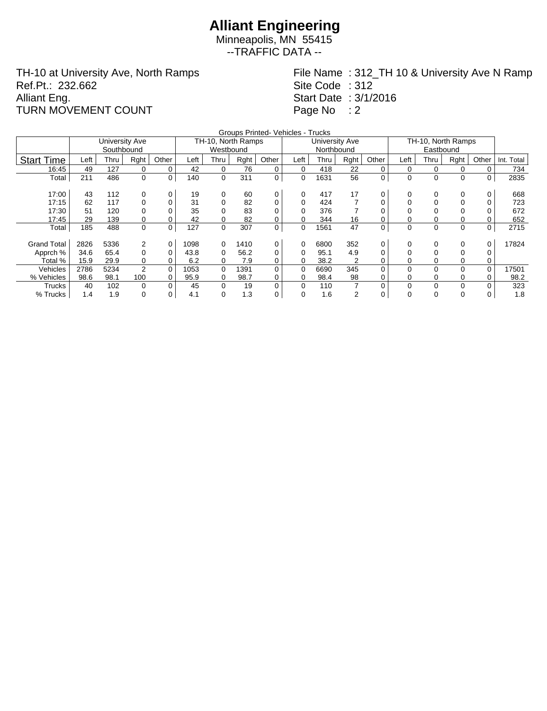Minneapolis, MN 55415 --TRAFFIC DATA --

TH-10 at University Ave, North Ramps Ref.Pt.: 232.662 Alliant Eng. TURN MOVEMENT COUNT

File Name : 312\_TH 10 & University Ave N Ramp Site Code : 312 Start Date : 3/1/2016 Page No : 2

|                    |      |                |             |             |      |                    |      | Groups Printed- Vehicles - Trucks |          |                |      |       |                    |              |          |             |            |
|--------------------|------|----------------|-------------|-------------|------|--------------------|------|-----------------------------------|----------|----------------|------|-------|--------------------|--------------|----------|-------------|------------|
|                    |      | University Ave |             |             |      | TH-10, North Ramps |      |                                   |          | University Ave |      |       | TH-10, North Ramps |              |          |             |            |
|                    |      | Southbound     |             |             |      | Westbound          |      |                                   |          | Northbound     |      |       |                    |              |          |             |            |
| <b>Start Time</b>  | Left | Thru           | Rght        | Other       | Left | Thru               | Rght | Other                             | Left     | Thru           | Rght | Other | Left               | Thru         | Rght     | Other       | Int. Total |
| 16:45              | 49   | 127            | 0           | 0           | 42   | 0                  | 76   | 0                                 | 0        | 418            | 22   | 0     | 0                  | 0            |          | 0           | 734        |
| Total              | 211  | 486            | 0           | 0           | 140  | $\mathbf 0$        | 311  | $\mathbf 0$                       | 0        | 1631           | 56   | 0     | 0                  | 0            | 0        | 0           | 2835       |
|                    |      |                |             |             |      |                    |      |                                   |          |                |      |       |                    |              |          |             |            |
| 17:00              | 43   | 112            | 0           | 0           | 19   | 0                  | 60   | 0                                 | 0        | 417            | 17   | 0     | 0                  | 0            | 0        | 0           | 668        |
| 17:15              | 62   | 117            | 0           | 0           | 31   | 0                  | 82   | 0                                 | $\Omega$ | 424            |      | 0     |                    | 0            |          |             | 723        |
| 17:30              | 51   | 120            | 0           | 0           | 35   | 0                  | 83   | 0                                 | 0        | 376            |      | 0     |                    |              |          |             | 672        |
| 17:45              | 29   | 139            | 0           | 0           | 42   | 0                  | 82   | 0                                 | 0        | 344            | 16   | 0     |                    |              |          |             | 652        |
| Total              | 185  | 488            | $\mathbf 0$ | 0           | 127  | $\mathbf 0$        | 307  | $\mathbf 0$                       | 0        | 1561           | 47   | 0     | $\mathbf 0$        | 0            | 0        | $\mathbf 0$ | 2715       |
|                    |      |                |             |             |      |                    |      |                                   |          |                |      |       |                    |              |          |             |            |
| <b>Grand Total</b> | 2826 | 5336           | 2           | $\mathbf 0$ | 1098 | 0                  | 1410 | 0                                 | 0        | 6800           | 352  | 0     | 0                  | 0            | 0        | 0           | 17824      |
| Apprch %           | 34.6 | 65.4           | 0           | 0           | 43.8 | 0                  | 56.2 | 0                                 | 0        | 95.1           | 4.9  | 0     |                    | 0            |          |             |            |
| Total %            | 15.9 | 29.9           | 0           | 0           | 6.2  | 0                  | 7.9  | 0                                 | 0        | 38.2           | 2    | 0     |                    | 0            |          | 0           |            |
| Vehicles           | 2786 | 5234           | 2           | $\mathbf 0$ | 1053 | $\Omega$           | 1391 | 0                                 | 0        | 6690           | 345  | 0     | 0                  | 0            | $\Omega$ | $\Omega$    | 17501      |
| % Vehicles         | 98.6 | 98.1           | 100         | 0           | 95.9 | 0                  | 98.7 | 0                                 | 0        | 98.4           | 98   | 0     |                    | 0            |          | 0           | 98.2       |
| Trucks             | 40   | 102            | 0           | 0           | 45   | $\mathbf 0$        | 19   | 0                                 | $\Omega$ | 110            | 7    | 0     | 0                  | $\mathbf{0}$ | $\Omega$ | 0           | 323        |
| % Trucks           | 1.4  | 1.9            | 0           | 0           | 4.1  | 0                  | 1.3  | 0                                 | 0        | 1.6            | 2    | 0     | $\mathbf 0$        | 0            | 0        | 0           | 1.8        |
|                    |      |                |             |             |      |                    |      |                                   |          |                |      |       |                    |              |          |             |            |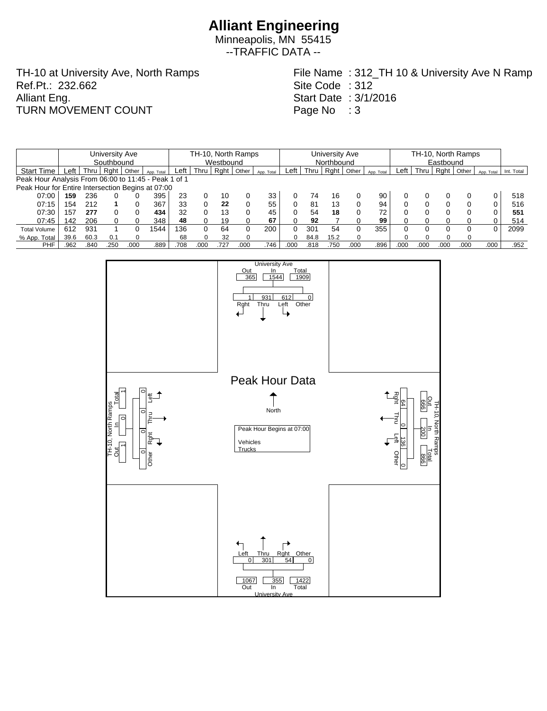Minneapolis, MN 55415 --TRAFFIC DATA --

TH-10 at University Ave, North Ramps Ref.Pt.: 232.662 Alliant Eng. TURN MOVEMENT COUNT

File Name : 312\_TH 10 & University Ave N Ramp Site Code : 312 Start Date : 3/1/2016 Page No : 3

|                                                      |      |      | University Ave |       |            | TH-10, North Ramps |      |      |       |            |            | University Ave |      |       |            |      |           | TH-10, North Ramps |       |            |            |  |  |
|------------------------------------------------------|------|------|----------------|-------|------------|--------------------|------|------|-------|------------|------------|----------------|------|-------|------------|------|-----------|--------------------|-------|------------|------------|--|--|
|                                                      |      |      | Southbound     |       |            | Westbound          |      |      |       |            | Northbound |                |      |       |            |      | Eastbound |                    |       |            |            |  |  |
| <b>Start Time</b>                                    | Left | Thru | Raht           | Other | App. Total | Left               | Thru | Rght | Other | App. Total | Left       | Thru           | Raht | Other | App. Total | Left | Thru      | Rght               | Other | App. Total | Int. Total |  |  |
| Peak Hour Analysis From 06:00 to 11:45 - Peak 1 of 1 |      |      |                |       |            |                    |      |      |       |            |            |                |      |       |            |      |           |                    |       |            |            |  |  |
| Peak Hour for Entire Intersection Begins at 07:00    |      |      |                |       |            |                    |      |      |       |            |            |                |      |       |            |      |           |                    |       |            |            |  |  |
| 07:00                                                | 159  | 236  |                |       | 395        | 23                 |      | 10   |       | 33         |            | 74             | 16   |       | 90         |      |           |                    |       |            | 518        |  |  |
| 07:15                                                | .54  | 212  |                |       | 367        | 33                 |      | 22   |       | 55         |            | -81            | 13   | 0     | 94         |      |           |                    |       | 0          | 516        |  |  |
| 07:30                                                | 57   | 277  | 0              |       | 434        | 32                 |      | 13   |       | 45         |            | 54             | 18   | 0     | 72         |      |           |                    |       |            | 551        |  |  |
| 07:45                                                | 142  | 206  |                |       | 348        | 48                 |      | 19   |       | 67         |            | 92             |      |       | 99         |      |           |                    |       |            | 514        |  |  |
| <b>Total Volume</b>                                  | 612  | 931  |                |       | 1544       | 136                |      | 64   |       | 200        |            | 301            | 54   | 0     | 355        |      |           |                    |       |            | 2099       |  |  |
| % App. Total                                         | 39.6 | 60.3 | 0.1            |       |            | 68                 |      | 32   |       |            |            | 84.8           | 15.2 | 0     |            |      |           |                    |       |            |            |  |  |
| <b>PHF</b>                                           | .962 | 840  | 250            | .00C  | .889       | .708               | 000  | .727 | .000  | .746       | .000       | .818           | .750 | .000  | .896       | .000 | .000      | .000               | .000  | .000       | .952       |  |  |